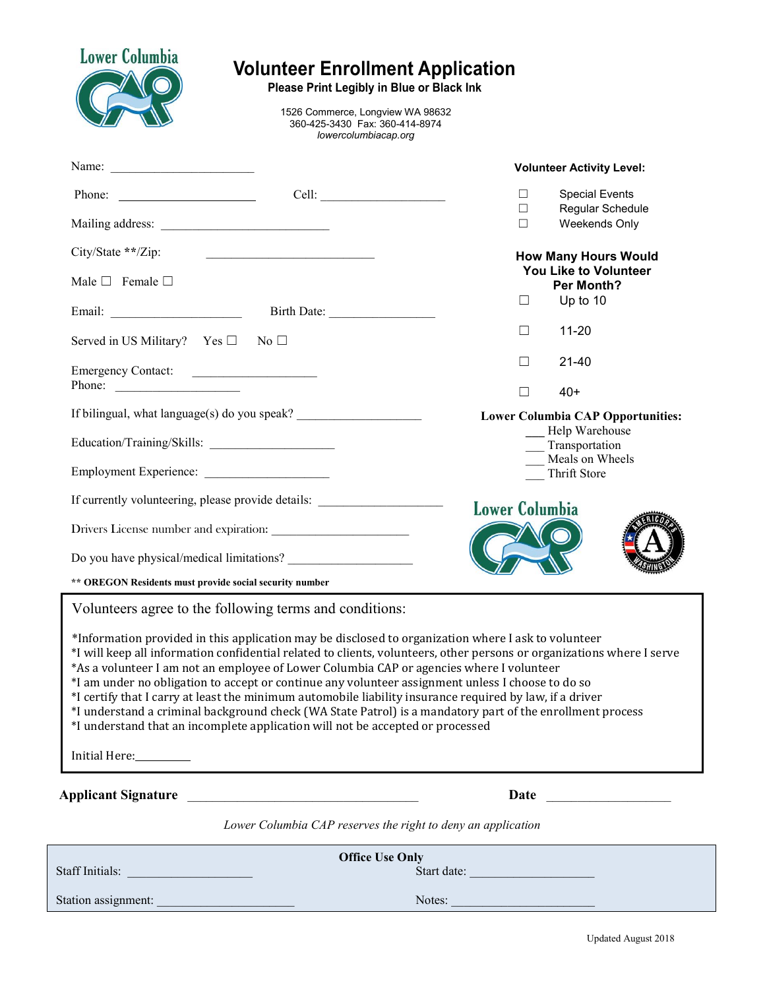|                                                                                                                                                                                                                                                                                                                                                                                                                                                   | 1526 Commerce, Longview WA 98632<br>360-425-3430 Fax: 360-414-8974<br>lowercolumbiacap.org |                                                                                                                                                                                                                                                                                                                                                                                                                                                                                                                                                             |  |  |
|---------------------------------------------------------------------------------------------------------------------------------------------------------------------------------------------------------------------------------------------------------------------------------------------------------------------------------------------------------------------------------------------------------------------------------------------------|--------------------------------------------------------------------------------------------|-------------------------------------------------------------------------------------------------------------------------------------------------------------------------------------------------------------------------------------------------------------------------------------------------------------------------------------------------------------------------------------------------------------------------------------------------------------------------------------------------------------------------------------------------------------|--|--|
| Name: $\frac{1}{\sqrt{1-\frac{1}{2}} \cdot \frac{1}{2} \cdot \frac{1}{2} \cdot \frac{1}{2} \cdot \frac{1}{2} \cdot \frac{1}{2} \cdot \frac{1}{2} \cdot \frac{1}{2} \cdot \frac{1}{2} \cdot \frac{1}{2} \cdot \frac{1}{2} \cdot \frac{1}{2} \cdot \frac{1}{2} \cdot \frac{1}{2} \cdot \frac{1}{2} \cdot \frac{1}{2} \cdot \frac{1}{2} \cdot \frac{1}{2} \cdot \frac{1}{2} \cdot \frac{1}{2} \cdot \frac{1}{2} \cdot \frac{1}{2} \cdot \frac{1}{2}$ |                                                                                            | <b>Volunteer Activity Level:</b>                                                                                                                                                                                                                                                                                                                                                                                                                                                                                                                            |  |  |
|                                                                                                                                                                                                                                                                                                                                                                                                                                                   |                                                                                            | <b>Special Events</b><br>$\Box$                                                                                                                                                                                                                                                                                                                                                                                                                                                                                                                             |  |  |
|                                                                                                                                                                                                                                                                                                                                                                                                                                                   |                                                                                            | Regular Schedule<br>$\Box$<br>Weekends Only<br>$\Box$                                                                                                                                                                                                                                                                                                                                                                                                                                                                                                       |  |  |
| City/State **/Zip:                                                                                                                                                                                                                                                                                                                                                                                                                                | <u> 1980 - Jan Barbara, martxa al II-lea (h. 1980).</u>                                    | <b>How Many Hours Would</b>                                                                                                                                                                                                                                                                                                                                                                                                                                                                                                                                 |  |  |
| Male $\Box$ Female $\Box$                                                                                                                                                                                                                                                                                                                                                                                                                         |                                                                                            | You Like to Volunteer<br>Per Month?                                                                                                                                                                                                                                                                                                                                                                                                                                                                                                                         |  |  |
|                                                                                                                                                                                                                                                                                                                                                                                                                                                   | Birth Date:                                                                                | Up to 10<br>$\Box$                                                                                                                                                                                                                                                                                                                                                                                                                                                                                                                                          |  |  |
| Served in US Military? Yes $\square$ No $\square$                                                                                                                                                                                                                                                                                                                                                                                                 |                                                                                            | $11 - 20$<br>$\Box$                                                                                                                                                                                                                                                                                                                                                                                                                                                                                                                                         |  |  |
| Emergency Contact:                                                                                                                                                                                                                                                                                                                                                                                                                                |                                                                                            | $\Box$<br>$21 - 40$                                                                                                                                                                                                                                                                                                                                                                                                                                                                                                                                         |  |  |
| Phone:                                                                                                                                                                                                                                                                                                                                                                                                                                            |                                                                                            | $\Box$<br>$40+$                                                                                                                                                                                                                                                                                                                                                                                                                                                                                                                                             |  |  |
| If bilingual, what language(s) do you speak? ___________________________________<br>Education/Training/Skills:                                                                                                                                                                                                                                                                                                                                    |                                                                                            | <b>Lower Columbia CAP Opportunities:</b><br>- Help Warehouse<br>__ Transportation                                                                                                                                                                                                                                                                                                                                                                                                                                                                           |  |  |
|                                                                                                                                                                                                                                                                                                                                                                                                                                                   |                                                                                            |                                                                                                                                                                                                                                                                                                                                                                                                                                                                                                                                                             |  |  |
| If currently volunteering, please provide details:                                                                                                                                                                                                                                                                                                                                                                                                |                                                                                            | <b>Lower Columbia</b>                                                                                                                                                                                                                                                                                                                                                                                                                                                                                                                                       |  |  |
|                                                                                                                                                                                                                                                                                                                                                                                                                                                   |                                                                                            |                                                                                                                                                                                                                                                                                                                                                                                                                                                                                                                                                             |  |  |
| Do you have physical/medical limitations?                                                                                                                                                                                                                                                                                                                                                                                                         |                                                                                            |                                                                                                                                                                                                                                                                                                                                                                                                                                                                                                                                                             |  |  |
| ** OREGON Residents must provide social security number                                                                                                                                                                                                                                                                                                                                                                                           |                                                                                            |                                                                                                                                                                                                                                                                                                                                                                                                                                                                                                                                                             |  |  |
| Volunteers agree to the following terms and conditions:<br>*As a volunteer I am not an employee of Lower Columbia CAP or agencies where I volunteer                                                                                                                                                                                                                                                                                               |                                                                                            | *Information provided in this application may be disclosed to organization where I ask to volunteer<br>*I will keep all information confidential related to clients, volunteers, other persons or organizations where I serve<br>*I am under no obligation to accept or continue any volunteer assignment unless I choose to do so<br>*I certify that I carry at least the minimum automobile liability insurance required by law, if a driver<br>*I understand a criminal background check (WA State Patrol) is a mandatory part of the enrollment process |  |  |
| *I understand that an incomplete application will not be accepted or processed                                                                                                                                                                                                                                                                                                                                                                    |                                                                                            |                                                                                                                                                                                                                                                                                                                                                                                                                                                                                                                                                             |  |  |
| Initial Here:__________                                                                                                                                                                                                                                                                                                                                                                                                                           |                                                                                            |                                                                                                                                                                                                                                                                                                                                                                                                                                                                                                                                                             |  |  |
|                                                                                                                                                                                                                                                                                                                                                                                                                                                   |                                                                                            | Date and the second service of the service of the series of the series of the series of the series of the series of the series of the series of the series of the series of the series of the series of the series of the seri                                                                                                                                                                                                                                                                                                                              |  |  |
| Applicant Signature                                                                                                                                                                                                                                                                                                                                                                                                                               | Lower Columbia CAP reserves the right to deny an application                               |                                                                                                                                                                                                                                                                                                                                                                                                                                                                                                                                                             |  |  |
| <b>Staff Initials: Staff Initials:</b>                                                                                                                                                                                                                                                                                                                                                                                                            | <b>Office Use Only</b>                                                                     | Start date:                                                                                                                                                                                                                                                                                                                                                                                                                                                                                                                                                 |  |  |